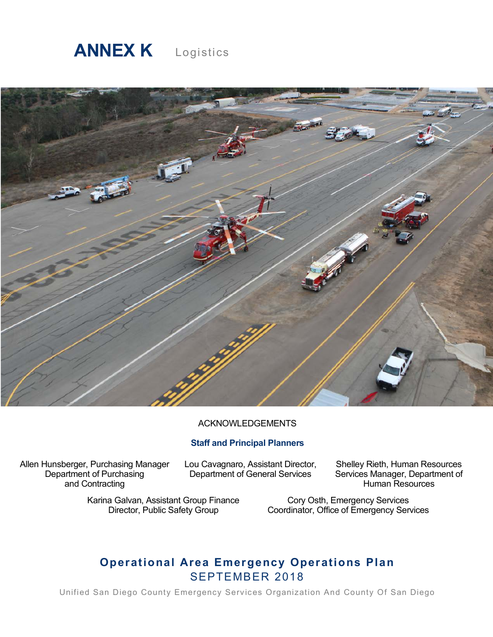

# Logistics



#### ACKNOWLEDGEMENTS

### **Staff and Principal Planners**

Allen Hunsberger, Purchasing Manager Department of Purchasing and Contracting

Lou Cavagnaro, Assistant Director, Department of General Services

Shelley Rieth, Human Resources Services Manager, Department of Human Resources

Karina Galvan, Assistant Group Finance Director, Public Safety Group

Cory Osth, Emergency Services Coordinator, Office of Emergency Services

# **Operational Area Emergency Operations Plan** SEPTEMBER 2018

Unified San Diego County Emergency Services Organization And County Of San Diego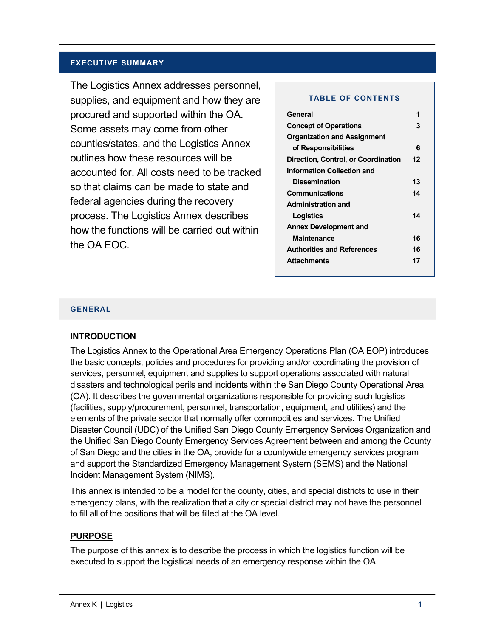#### **EXECUTIVE SUMMARY**

The Logistics Annex addresses personnel, supplies, and equipment and how they are procured and supported within the OA. Some assets may come from other counties/states, and the Logistics Annex outlines how these resources will be accounted for. All costs need to be tracked so that claims can be made to state and federal agencies during the recovery process. The Logistics Annex describes how the functions will be carried out within the OA EOC.

#### **TABLE OF CONTENTS**

| General                             |    |
|-------------------------------------|----|
| <b>Concept of Operations</b>        | 3  |
| <b>Organization and Assignment</b>  |    |
| of Responsibilities                 | 6  |
| Direction, Control, or Coordination | 12 |
| <b>Information Collection and</b>   |    |
| <b>Dissemination</b>                | 13 |
| Communications                      | 14 |
| <b>Administration and</b>           |    |
| Logistics                           | 14 |
| <b>Annex Development and</b>        |    |
| <b>Maintenance</b>                  | 16 |
| <b>Authorities and References</b>   | 16 |
| <b>Attachments</b>                  | 17 |
|                                     |    |

#### **GENERAL**

#### **INTRODUCTION**

The Logistics Annex to the Operational Area Emergency Operations Plan (OA EOP) introduces the basic concepts, policies and procedures for providing and/or coordinating the provision of services, personnel, equipment and supplies to support operations associated with natural disasters and technological perils and incidents within the San Diego County Operational Area (OA). It describes the governmental organizations responsible for providing such logistics (facilities, supply/procurement, personnel, transportation, equipment, and utilities) and the elements of the private sector that normally offer commodities and services. The Unified Disaster Council (UDC) of the Unified San Diego County Emergency Services Organization and the Unified San Diego County Emergency Services Agreement between and among the County of San Diego and the cities in the OA, provide for a countywide emergency services program and support the Standardized Emergency Management System (SEMS) and the National Incident Management System (NIMS).

This annex is intended to be a model for the county, cities, and special districts to use in their emergency plans, with the realization that a city or special district may not have the personnel to fill all of the positions that will be filled at the OA level.

#### **PURPOSE**

The purpose of this annex is to describe the process in which the logistics function will be executed to support the logistical needs of an emergency response within the OA.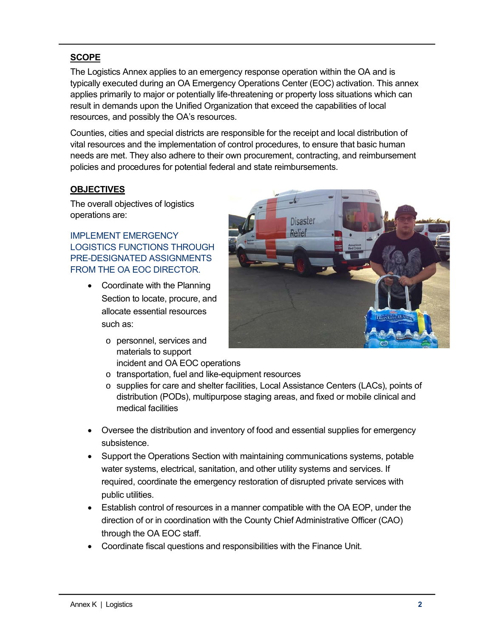# **SCOPE**

The Logistics Annex applies to an emergency response operation within the OA and is typically executed during an OA Emergency Operations Center (EOC) activation. This annex applies primarily to major or potentially life-threatening or property loss situations which can result in demands upon the Unified Organization that exceed the capabilities of local resources, and possibly the OA's resources.

Counties, cities and special districts are responsible for the receipt and local distribution of vital resources and the implementation of control procedures, to ensure that basic human needs are met. They also adhere to their own procurement, contracting, and reimbursement policies and procedures for potential federal and state reimbursements.

# **OBJECTIVES**

The overall objectives of logistics operations are:

IMPLEMENT EMERGENCY LOGISTICS FUNCTIONS THROUGH PRE-DESIGNATED ASSIGNMENTS FROM THE OA EOC DIRECTOR.

- Coordinate with the Planning Section to locate, procure, and allocate essential resources such as:
	- o personnel, services and materials to support incident and OA EOC operations



- o transportation, fuel and like-equipment resources
- o supplies for care and shelter facilities, Local Assistance Centers (LACs), points of distribution (PODs), multipurpose staging areas, and fixed or mobile clinical and medical facilities
- Oversee the distribution and inventory of food and essential supplies for emergency subsistence.
- Support the Operations Section with maintaining communications systems, potable water systems, electrical, sanitation, and other utility systems and services. If required, coordinate the emergency restoration of disrupted private services with public utilities.
- Establish control of resources in a manner compatible with the OA EOP, under the direction of or in coordination with the County Chief Administrative Officer (CAO) through the OA EOC staff.
- Coordinate fiscal questions and responsibilities with the Finance Unit.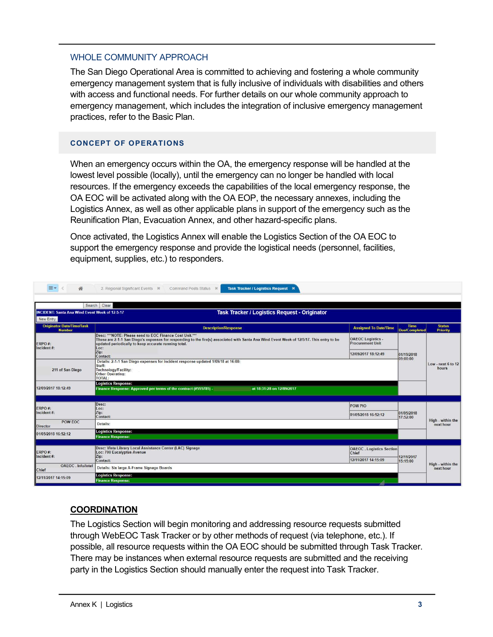#### WHOLE COMMUNITY APPROACH

The San Diego Operational Area is committed to achieving and fostering a whole community emergency management system that is fully inclusive of individuals with disabilities and others with access and functional needs. For further details on our whole community approach to emergency management, which includes the integration of inclusive emergency management practices, refer to the Basic Plan.

#### **CONCEPT OF OPERATIONS**

When an emergency occurs within the OA, the emergency response will be handled at the lowest level possible (locally), until the emergency can no longer be handled with local resources. If the emergency exceeds the capabilities of the local emergency response, the OA EOC will be activated along with the OA EOP, the necessary annexes, including the Logistics Annex, as well as other applicable plans in support of the emergency such as the Reunification Plan, Evacuation Annex, and other hazard-specific plans.

Once activated, the Logistics Annex will enable the Logistics Section of the OA EOC to support the emergency response and provide the logistical needs (personnel, facilities, equipment, supplies, etc.) to responders.

| 备                                                                  | 2. Regional Significant Events $\mathbb{X}$<br>Command Posts Status *<br>Task Tracker / Logistics Request X                                                                                                                                                           |                                                     |                                     |                                  |
|--------------------------------------------------------------------|-----------------------------------------------------------------------------------------------------------------------------------------------------------------------------------------------------------------------------------------------------------------------|-----------------------------------------------------|-------------------------------------|----------------------------------|
|                                                                    | Clear<br>Search                                                                                                                                                                                                                                                       |                                                     |                                     |                                  |
| <b>INCIDENT: Santa Ana Wind Event Week of 12-5-17</b><br>New Entry | <b>Task Tracker / Logistics Request - Originator</b>                                                                                                                                                                                                                  |                                                     |                                     |                                  |
| <b>Originator Date/Time/Task</b><br><b>Number</b>                  | <b>Description/Response</b>                                                                                                                                                                                                                                           | <b>Assigned To Date/Time</b>                        | <b>Time</b><br><b>Due/Completed</b> | <b>Status</b><br><b>Priority</b> |
| ERPO#:<br>Incident#:                                               | Desc: *** NOTE: Please send to EOC Finance Cost Unit."**<br>These are 2-1-1 San Diego's expenses for responding to the fire(s) associated with Santa Ana Wind Event Week of 12/5/17. This entry to be<br>updated periodically to keep accurate running total.<br>Loc: | <b>OAEOC</b> Logistics -<br><b>Procurement Unit</b> | 01/19/2018                          | Low - next 6 to 12<br>hours      |
|                                                                    | Zip:<br>Contact:                                                                                                                                                                                                                                                      | 12/09/2017 18:12:49                                 |                                     |                                  |
| 211 of San Diego                                                   | Details: 2-1-1 San Diego expenses for incident response updated 1/09/18 at 16:00:<br>Staff:<br>Technology/Facility:<br><b>Other Operating:</b><br><b>TOTAL:</b>                                                                                                       |                                                     | 09:00:00                            |                                  |
|                                                                    | <b>Logistics Response:</b>                                                                                                                                                                                                                                            |                                                     |                                     |                                  |
| 12/09/2017 18:12:49                                                | Finance Response: Approved per terms of the contract (#555785) -<br>at 18:31:28 on 12/09/2017                                                                                                                                                                         |                                                     |                                     |                                  |
| ERPO#:                                                             | Desc:<br>Loc:                                                                                                                                                                                                                                                         | POW PIO                                             | 01/05/2018<br>17:52:00              |                                  |
| Incident#:                                                         | Zip:<br>Contact:                                                                                                                                                                                                                                                      | 01/05/2018 16:52:12                                 |                                     |                                  |
| POW EOC<br><b>Director</b>                                         | Details:                                                                                                                                                                                                                                                              |                                                     |                                     | High - within the<br>next hour   |
| 01/05/2018 16:52:12                                                | <b>Logistics Response:</b><br><b>Finance Response:</b>                                                                                                                                                                                                                |                                                     |                                     |                                  |
|                                                                    |                                                                                                                                                                                                                                                                       |                                                     |                                     |                                  |
| ERPO#:<br>Incident#:                                               | Desc: Vista Library Local Assistance Center (LAC) Signage<br>Loc: 700 Eucalyptus Avenue<br>Zip:                                                                                                                                                                       | <b>OAEOC</b> . Logistics Section<br>Chief           | 12/11/2017                          | High - within the                |
|                                                                    | Contact:                                                                                                                                                                                                                                                              | 12/11/2017 14:15:09                                 | 15:15:00                            |                                  |
| OAEOC. Info/Intel<br>Chief                                         | Details: Six large A-Frame Signage Boards                                                                                                                                                                                                                             |                                                     |                                     | next hour                        |
| 12/11/2017 14:15:09                                                | <b>Logistics Response:</b><br><b>Finance Response:</b>                                                                                                                                                                                                                |                                                     |                                     |                                  |

# **COORDINATION**

The Logistics Section will begin monitoring and addressing resource requests submitted through WebEOC Task Tracker or by other methods of request (via telephone, etc.). If possible, all resource requests within the OA EOC should be submitted through Task Tracker. There may be instances when external resource requests are submitted and the receiving party in the Logistics Section should manually enter the request into Task Tracker.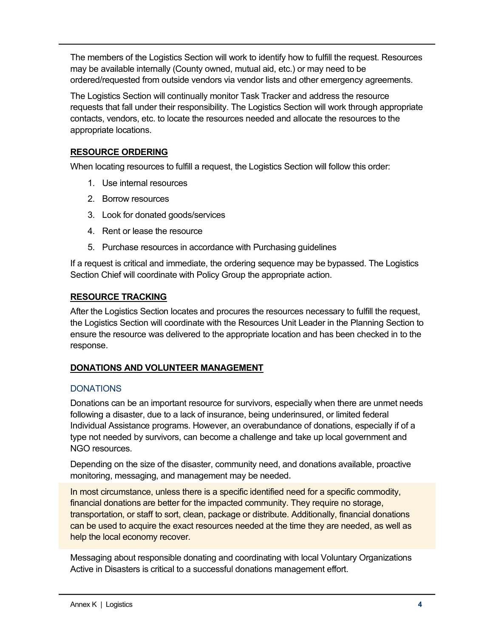The members of the Logistics Section will work to identify how to fulfill the request. Resources may be available internally (County owned, mutual aid, etc.) or may need to be ordered/requested from outside vendors via vendor lists and other emergency agreements.

The Logistics Section will continually monitor Task Tracker and address the resource requests that fall under their responsibility. The Logistics Section will work through appropriate contacts, vendors, etc. to locate the resources needed and allocate the resources to the appropriate locations.

# **RESOURCE ORDERING**

When locating resources to fulfill a request, the Logistics Section will follow this order:

- 1. Use internal resources
- 2. Borrow resources
- 3. Look for donated goods/services
- 4. Rent or lease the resource
- 5. Purchase resources in accordance with Purchasing guidelines

If a request is critical and immediate, the ordering sequence may be bypassed. The Logistics Section Chief will coordinate with Policy Group the appropriate action.

### **RESOURCE TRACKING**

After the Logistics Section locates and procures the resources necessary to fulfill the request, the Logistics Section will coordinate with the Resources Unit Leader in the Planning Section to ensure the resource was delivered to the appropriate location and has been checked in to the response.

### **DONATIONS AND VOLUNTEER MANAGEMENT**

# **DONATIONS**

Donations can be an important resource for survivors, especially when there are unmet needs following a disaster, due to a lack of insurance, being underinsured, or limited federal Individual Assistance programs. However, an overabundance of donations, especially if of a type not needed by survivors, can become a challenge and take up local government and NGO resources.

Depending on the size of the disaster, community need, and donations available, proactive monitoring, messaging, and management may be needed**.** 

In most circumstance, unless there is a specific identified need for a specific commodity, financial donations are better for the impacted community. They require no storage, transportation, or staff to sort, clean, package or distribute. Additionally, financial donations can be used to acquire the exact resources needed at the time they are needed, as well as help the local economy recover.

Messaging about responsible donating and coordinating with local Voluntary Organizations Active in Disasters is critical to a successful donations management effort.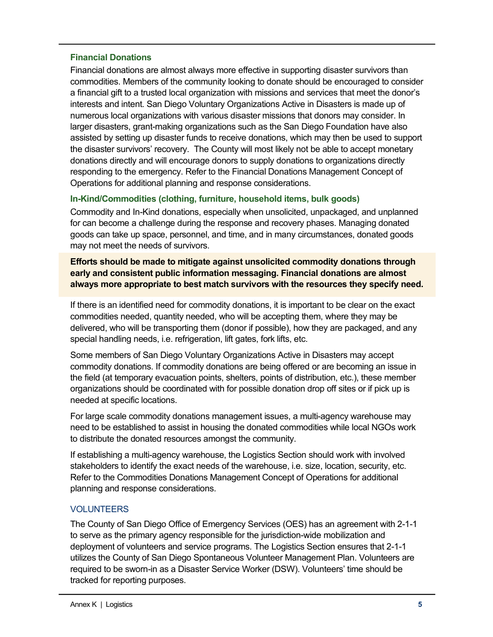### **Financial Donations**

Financial donations are almost always more effective in supporting disaster survivors than commodities. Members of the community looking to donate should be encouraged to consider a financial gift to a trusted local organization with missions and services that meet the donor's interests and intent. San Diego Voluntary Organizations Active in Disasters is made up of numerous local organizations with various disaster missions that donors may consider. In larger disasters, grant-making organizations such as the San Diego Foundation have also assisted by setting up disaster funds to receive donations, which may then be used to support the disaster survivors' recovery. The County will most likely not be able to accept monetary donations directly and will encourage donors to supply donations to organizations directly responding to the emergency. Refer to the Financial Donations Management Concept of Operations for additional planning and response considerations.

### **In-Kind/Commodities (clothing, furniture, household items, bulk goods)**

Commodity and In-Kind donations, especially when unsolicited, unpackaged, and unplanned for can become a challenge during the response and recovery phases. Managing donated goods can take up space, personnel, and time, and in many circumstances, donated goods may not meet the needs of survivors.

**Efforts should be made to mitigate against unsolicited commodity donations through early and consistent public information messaging. Financial donations are almost always more appropriate to best match survivors with the resources they specify need.**

If there is an identified need for commodity donations, it is important to be clear on the exact commodities needed, quantity needed, who will be accepting them, where they may be delivered, who will be transporting them (donor if possible), how they are packaged, and any special handling needs, i.e. refrigeration, lift gates, fork lifts, etc.

Some members of San Diego Voluntary Organizations Active in Disasters may accept commodity donations. If commodity donations are being offered or are becoming an issue in the field (at temporary evacuation points, shelters, points of distribution, etc.), these member organizations should be coordinated with for possible donation drop off sites or if pick up is needed at specific locations.

For large scale commodity donations management issues, a multi-agency warehouse may need to be established to assist in housing the donated commodities while local NGOs work to distribute the donated resources amongst the community.

If establishing a multi-agency warehouse, the Logistics Section should work with involved stakeholders to identify the exact needs of the warehouse, i.e. size, location, security, etc. Refer to the Commodities Donations Management Concept of Operations for additional planning and response considerations.

# VOLUNTEERS

The County of San Diego Office of Emergency Services (OES) has an agreement with 2-1-1 to serve as the primary agency responsible for the jurisdiction-wide mobilization and deployment of volunteers and service programs. The Logistics Section ensures that 2-1-1 utilizes the County of San Diego Spontaneous Volunteer Management Plan. Volunteers are required to be sworn-in as a Disaster Service Worker (DSW). Volunteers' time should be tracked for reporting purposes.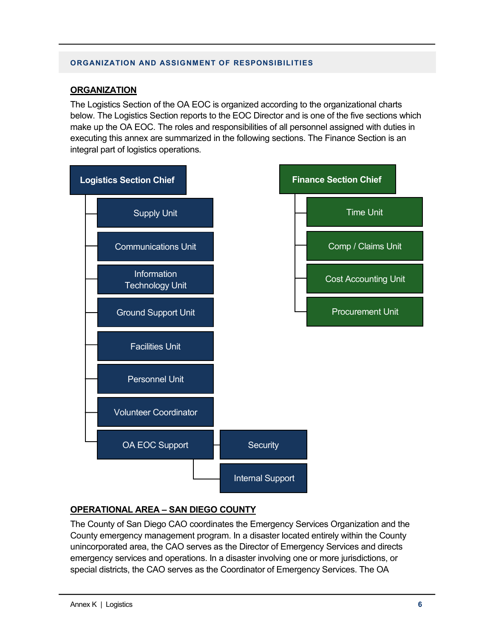#### **ORGANIZATION AND ASSIGNMENT OF RESPONSIBILITIES**

### **ORGANIZATION**

The Logistics Section of the OA EOC is organized according to the organizational charts below. The Logistics Section reports to the EOC Director and is one of the five sections which make up the OA EOC. The roles and responsibilities of all personnel assigned with duties in executing this annex are summarized in the following sections. The Finance Section is an integral part of logistics operations.



# **OPERATIONAL AREA – SAN DIEGO COUNTY**

The County of San Diego CAO coordinates the Emergency Services Organization and the County emergency management program. In a disaster located entirely within the County unincorporated area, the CAO serves as the Director of Emergency Services and directs emergency services and operations. In a disaster involving one or more jurisdictions, or special districts, the CAO serves as the Coordinator of Emergency Services. The OA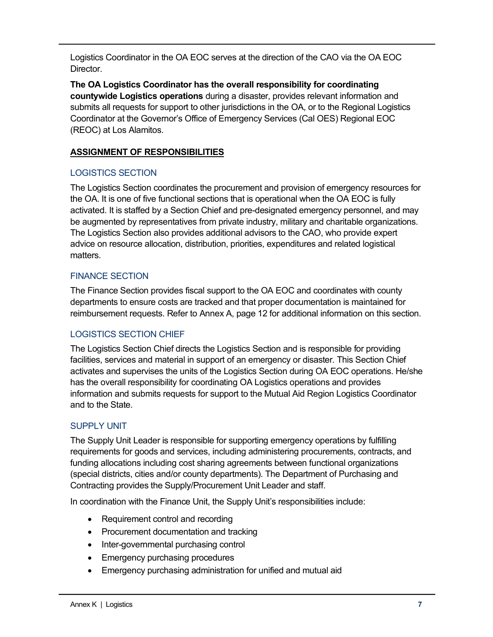Logistics Coordinator in the OA EOC serves at the direction of the CAO via the OA EOC Director.

**The OA Logistics Coordinator has the overall responsibility for coordinating countywide Logistics operations** during a disaster, provides relevant information and submits all requests for support to other jurisdictions in the OA, or to the Regional Logistics Coordinator at the Governor's Office of Emergency Services (Cal OES) Regional EOC (REOC) at Los Alamitos.

# **ASSIGNMENT OF RESPONSIBILITIES**

# LOGISTICS SECTION

The Logistics Section coordinates the procurement and provision of emergency resources for the OA. It is one of five functional sections that is operational when the OA EOC is fully activated. It is staffed by a Section Chief and pre-designated emergency personnel, and may be augmented by representatives from private industry, military and charitable organizations. The Logistics Section also provides additional advisors to the CAO, who provide expert advice on resource allocation, distribution, priorities, expenditures and related logistical matters.

# FINANCE SECTION

The Finance Section provides fiscal support to the OA EOC and coordinates with county departments to ensure costs are tracked and that proper documentation is maintained for reimbursement requests. Refer to Annex A, page 12 for additional information on this section.

# LOGISTICS SECTION CHIEF

The Logistics Section Chief directs the Logistics Section and is responsible for providing facilities, services and material in support of an emergency or disaster. This Section Chief activates and supervises the units of the Logistics Section during OA EOC operations. He/she has the overall responsibility for coordinating OA Logistics operations and provides information and submits requests for support to the Mutual Aid Region Logistics Coordinator and to the State.

# SUPPLY UNIT

The Supply Unit Leader is responsible for supporting emergency operations by fulfilling requirements for goods and services, including administering procurements, contracts, and funding allocations including cost sharing agreements between functional organizations (special districts, cities and/or county departments). The Department of Purchasing and Contracting provides the Supply/Procurement Unit Leader and staff.

In coordination with the Finance Unit, the Supply Unit's responsibilities include:

- Requirement control and recording
- Procurement documentation and tracking
- Inter-governmental purchasing control
- Emergency purchasing procedures
- Emergency purchasing administration for unified and mutual aid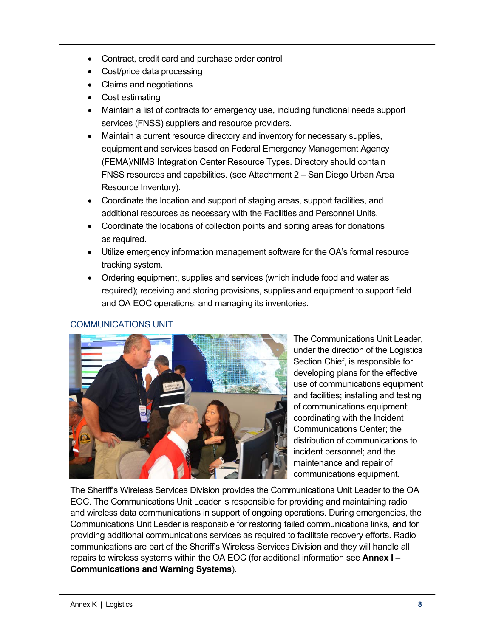- Contract, credit card and purchase order control
- Cost/price data processing
- Claims and negotiations
- Cost estimating
- Maintain a list of contracts for emergency use, including functional needs support services (FNSS) suppliers and resource providers.
- Maintain a current resource directory and inventory for necessary supplies, equipment and services based on Federal Emergency Management Agency (FEMA)/NIMS Integration Center Resource Types. Directory should contain FNSS resources and capabilities. (see Attachment 2 – San Diego Urban Area Resource Inventory).
- Coordinate the location and support of staging areas, support facilities, and additional resources as necessary with the Facilities and Personnel Units.
- Coordinate the locations of collection points and sorting areas for donations as required.
- Utilize emergency information management software for the OA's formal resource tracking system.
- Ordering equipment, supplies and services (which include food and water as required); receiving and storing provisions, supplies and equipment to support field and OA EOC operations; and managing its inventories.

# COMMUNICATIONS UNIT



The Communications Unit Leader, under the direction of the Logistics Section Chief, is responsible for developing plans for the effective use of communications equipment and facilities; installing and testing of communications equipment; coordinating with the Incident Communications Center; the distribution of communications to incident personnel; and the maintenance and repair of communications equipment.

The Sheriff's Wireless Services Division provides the Communications Unit Leader to the OA EOC. The Communications Unit Leader is responsible for providing and maintaining radio and wireless data communications in support of ongoing operations. During emergencies, the Communications Unit Leader is responsible for restoring failed communications links, and for providing additional communications services as required to facilitate recovery efforts. Radio communications are part of the Sheriff's Wireless Services Division and they will handle all repairs to wireless systems within the OA EOC (for additional information see **Annex I – Communications and Warning Systems**).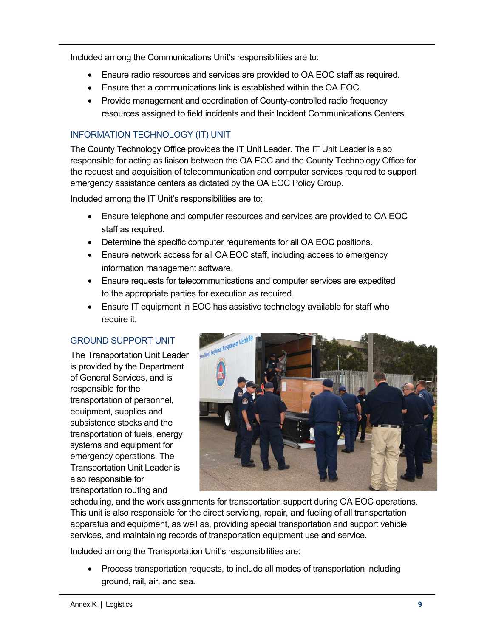Included among the Communications Unit's responsibilities are to:

- Ensure radio resources and services are provided to OA EOC staff as required.
- Ensure that a communications link is established within the OA EOC.
- Provide management and coordination of County-controlled radio frequency resources assigned to field incidents and their Incident Communications Centers.

### INFORMATION TECHNOLOGY (IT) UNIT

The County Technology Office provides the IT Unit Leader. The IT Unit Leader is also responsible for acting as liaison between the OA EOC and the County Technology Office for the request and acquisition of telecommunication and computer services required to support emergency assistance centers as dictated by the OA EOC Policy Group.

Included among the IT Unit's responsibilities are to:

- Ensure telephone and computer resources and services are provided to OA EOC staff as required.
- Determine the specific computer requirements for all OA EOC positions.
- Ensure network access for all OA EOC staff, including access to emergency information management software.
- Ensure requests for telecommunications and computer services are expedited to the appropriate parties for execution as required.
- Ensure IT equipment in EOC has assistive technology available for staff who require it.

# GROUND SUPPORT UNIT

The Transportation Unit Leader is provided by the Department of General Services, and is responsible for the transportation of personnel, equipment, supplies and subsistence stocks and the transportation of fuels, energy systems and equipment for emergency operations. The Transportation Unit Leader is also responsible for transportation routing and



scheduling, and the work assignments for transportation support during OA EOC operations. This unit is also responsible for the direct servicing, repair, and fueling of all transportation apparatus and equipment, as well as, providing special transportation and support vehicle services, and maintaining records of transportation equipment use and service.

Included among the Transportation Unit's responsibilities are:

• Process transportation requests, to include all modes of transportation including ground, rail, air, and sea.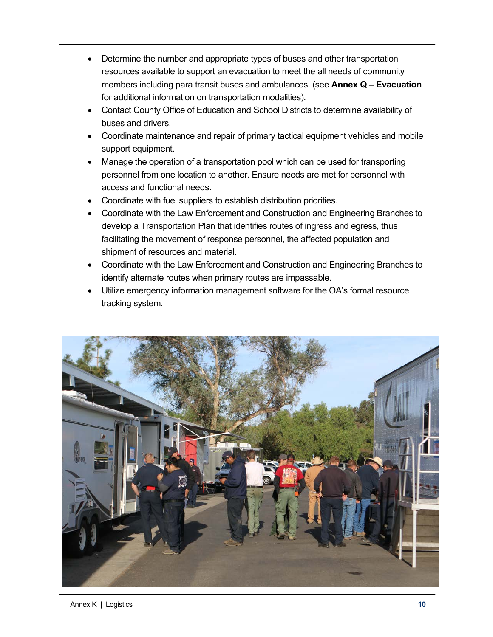- Determine the number and appropriate types of buses and other transportation resources available to support an evacuation to meet the all needs of community members including para transit buses and ambulances. (see **Annex Q – Evacuation** for additional information on transportation modalities).
- Contact County Office of Education and School Districts to determine availability of buses and drivers.
- Coordinate maintenance and repair of primary tactical equipment vehicles and mobile support equipment.
- Manage the operation of a transportation pool which can be used for transporting personnel from one location to another. Ensure needs are met for personnel with access and functional needs.
- Coordinate with fuel suppliers to establish distribution priorities.
- Coordinate with the Law Enforcement and Construction and Engineering Branches to develop a Transportation Plan that identifies routes of ingress and egress, thus facilitating the movement of response personnel, the affected population and shipment of resources and material.
- Coordinate with the Law Enforcement and Construction and Engineering Branches to identify alternate routes when primary routes are impassable.
- Utilize emergency information management software for the OA's formal resource tracking system.

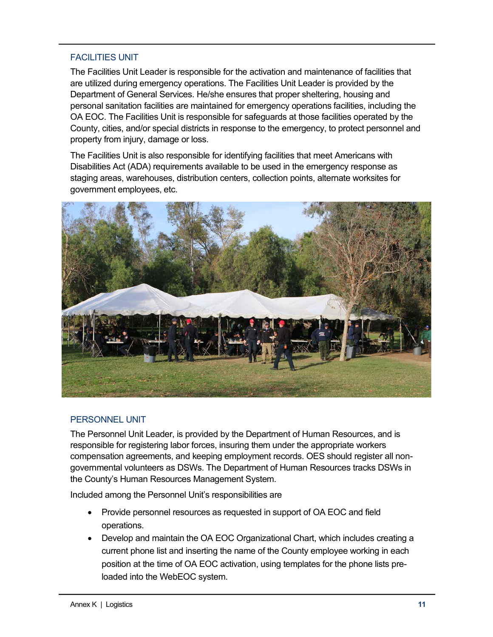# FACILITIES UNIT

The Facilities Unit Leader is responsible for the activation and maintenance of facilities that are utilized during emergency operations. The Facilities Unit Leader is provided by the Department of General Services. He/she ensures that proper sheltering, housing and personal sanitation facilities are maintained for emergency operations facilities, including the OA EOC. The Facilities Unit is responsible for safeguards at those facilities operated by the County, cities, and/or special districts in response to the emergency, to protect personnel and property from injury, damage or loss.

The Facilities Unit is also responsible for identifying facilities that meet Americans with Disabilities Act (ADA) requirements available to be used in the emergency response as staging areas, warehouses, distribution centers, collection points, alternate worksites for government employees, etc.



### PERSONNEL UNIT

The Personnel Unit Leader, is provided by the Department of Human Resources, and is responsible for registering labor forces, insuring them under the appropriate workers compensation agreements, and keeping employment records. OES should register all nongovernmental volunteers as DSWs. The Department of Human Resources tracks DSWs in the County's Human Resources Management System.

Included among the Personnel Unit's responsibilities are

- Provide personnel resources as requested in support of OA EOC and field operations.
- Develop and maintain the OA EOC Organizational Chart, which includes creating a current phone list and inserting the name of the County employee working in each position at the time of OA EOC activation, using templates for the phone lists preloaded into the WebEOC system.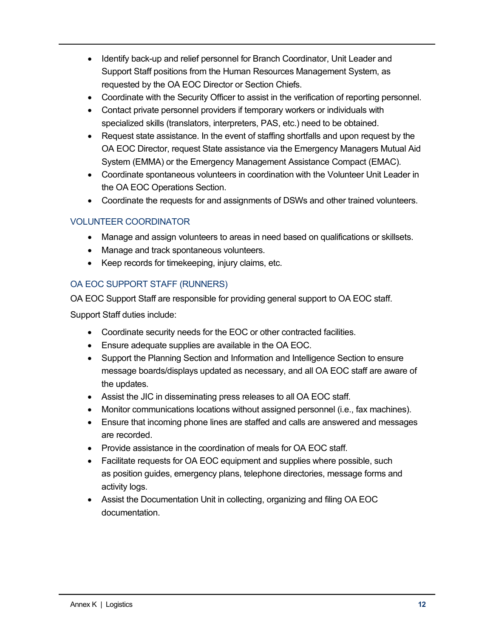- Identify back-up and relief personnel for Branch Coordinator, Unit Leader and Support Staff positions from the Human Resources Management System, as requested by the OA EOC Director or Section Chiefs.
- Coordinate with the Security Officer to assist in the verification of reporting personnel.
- Contact private personnel providers if temporary workers or individuals with specialized skills (translators, interpreters, PAS, etc.) need to be obtained.
- Request state assistance. In the event of staffing shortfalls and upon request by the OA EOC Director, request State assistance via the Emergency Managers Mutual Aid System (EMMA) or the Emergency Management Assistance Compact (EMAC).
- Coordinate spontaneous volunteers in coordination with the Volunteer Unit Leader in the OA EOC Operations Section.
- Coordinate the requests for and assignments of DSWs and other trained volunteers.

# VOLUNTEER COORDINATOR

- Manage and assign volunteers to areas in need based on qualifications or skillsets.
- Manage and track spontaneous volunteers.
- Keep records for timekeeping, injury claims, etc.

# OA EOC SUPPORT STAFF (RUNNERS)

OA EOC Support Staff are responsible for providing general support to OA EOC staff.

Support Staff duties include:

- Coordinate security needs for the EOC or other contracted facilities.
- Ensure adequate supplies are available in the OA EOC.
- Support the Planning Section and Information and Intelligence Section to ensure message boards/displays updated as necessary, and all OA EOC staff are aware of the updates.
- Assist the JIC in disseminating press releases to all OA EOC staff.
- Monitor communications locations without assigned personnel (i.e., fax machines).
- Ensure that incoming phone lines are staffed and calls are answered and messages are recorded.
- Provide assistance in the coordination of meals for OA EOC staff.
- Facilitate requests for OA EOC equipment and supplies where possible, such as position guides, emergency plans, telephone directories, message forms and activity logs.
- Assist the Documentation Unit in collecting, organizing and filing OA EOC documentation.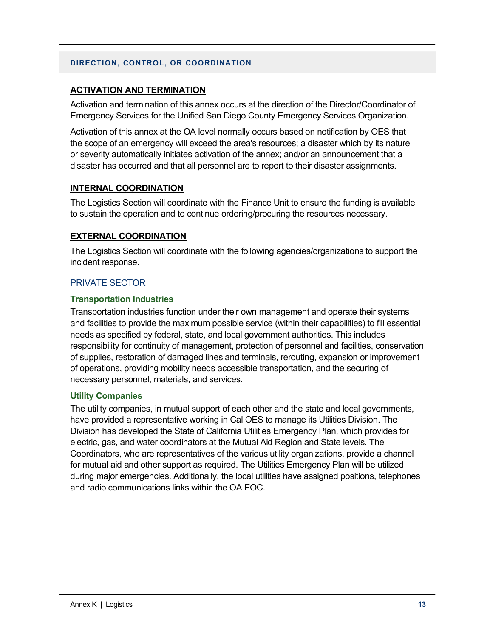#### **DIRECTION, CONTROL, OR COORDINATION**

### **ACTIVATION AND TERMINATION**

Activation and termination of this annex occurs at the direction of the Director/Coordinator of Emergency Services for the Unified San Diego County Emergency Services Organization.

Activation of this annex at the OA level normally occurs based on notification by OES that the scope of an emergency will exceed the area's resources; a disaster which by its nature or severity automatically initiates activation of the annex; and/or an announcement that a disaster has occurred and that all personnel are to report to their disaster assignments.

### **INTERNAL COORDINATION**

The Logistics Section will coordinate with the Finance Unit to ensure the funding is available to sustain the operation and to continue ordering/procuring the resources necessary.

### **EXTERNAL COORDINATION**

The Logistics Section will coordinate with the following agencies/organizations to support the incident response.

### PRIVATE SECTOR

### **Transportation Industries**

Transportation industries function under their own management and operate their systems and facilities to provide the maximum possible service (within their capabilities) to fill essential needs as specified by federal, state, and local government authorities. This includes responsibility for continuity of management, protection of personnel and facilities, conservation of supplies, restoration of damaged lines and terminals, rerouting, expansion or improvement of operations, providing mobility needs accessible transportation, and the securing of necessary personnel, materials, and services.

### **Utility Companies**

The utility companies, in mutual support of each other and the state and local governments, have provided a representative working in Cal OES to manage its Utilities Division. The Division has developed the State of California Utilities Emergency Plan, which provides for electric, gas, and water coordinators at the Mutual Aid Region and State levels. The Coordinators, who are representatives of the various utility organizations, provide a channel for mutual aid and other support as required. The Utilities Emergency Plan will be utilized during major emergencies. Additionally, the local utilities have assigned positions, telephones and radio communications links within the OA EOC.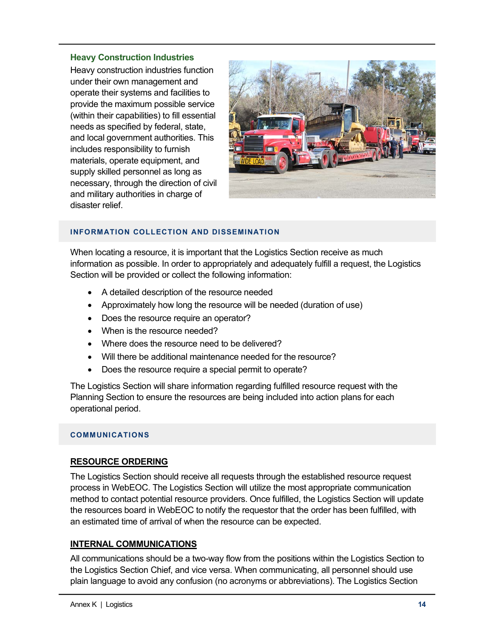### **Heavy Construction Industries**

Heavy construction industries function under their own management and operate their systems and facilities to provide the maximum possible service (within their capabilities) to fill essential needs as specified by federal, state, and local government authorities. This includes responsibility to furnish materials, operate equipment, and supply skilled personnel as long as necessary, through the direction of civil and military authorities in charge of disaster relief.



#### **INFORMATION COLLECTION AND DISSEMINATION**

When locating a resource, it is important that the Logistics Section receive as much information as possible. In order to appropriately and adequately fulfill a request, the Logistics Section will be provided or collect the following information:

- A detailed description of the resource needed
- Approximately how long the resource will be needed (duration of use)
- Does the resource require an operator?
- When is the resource needed?
- Where does the resource need to be delivered?
- Will there be additional maintenance needed for the resource?
- Does the resource require a special permit to operate?

The Logistics Section will share information regarding fulfilled resource request with the Planning Section to ensure the resources are being included into action plans for each operational period.

#### **COMMUNICATIONS**

### **RESOURCE ORDERING**

The Logistics Section should receive all requests through the established resource request process in WebEOC. The Logistics Section will utilize the most appropriate communication method to contact potential resource providers. Once fulfilled, the Logistics Section will update the resources board in WebEOC to notify the requestor that the order has been fulfilled, with an estimated time of arrival of when the resource can be expected.

### **INTERNAL COMMUNICATIONS**

All communications should be a two-way flow from the positions within the Logistics Section to the Logistics Section Chief, and vice versa. When communicating, all personnel should use plain language to avoid any confusion (no acronyms or abbreviations). The Logistics Section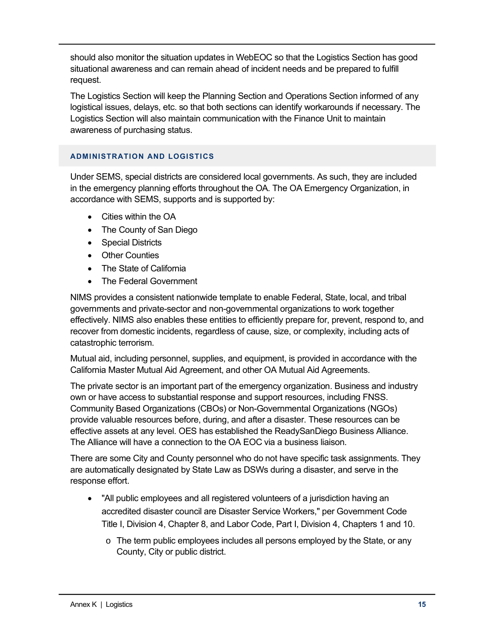should also monitor the situation updates in WebEOC so that the Logistics Section has good situational awareness and can remain ahead of incident needs and be prepared to fulfill request.

The Logistics Section will keep the Planning Section and Operations Section informed of any logistical issues, delays, etc. so that both sections can identify workarounds if necessary. The Logistics Section will also maintain communication with the Finance Unit to maintain awareness of purchasing status.

### **ADMINISTRATION AND LOGISTICS**

Under SEMS, special districts are considered local governments. As such, they are included in the emergency planning efforts throughout the OA. The OA Emergency Organization, in accordance with SEMS, supports and is supported by:

- Cities within the OA
- The County of San Diego
- Special Districts
- Other Counties
- The State of California
- The Federal Government

NIMS provides a consistent nationwide template to enable Federal, State, local, and tribal governments and private-sector and non-governmental organizations to work together effectively. NIMS also enables these entities to efficiently prepare for, prevent, respond to, and recover from domestic incidents, regardless of cause, size, or complexity, including acts of catastrophic terrorism.

Mutual aid, including personnel, supplies, and equipment, is provided in accordance with the California Master Mutual Aid Agreement, and other OA Mutual Aid Agreements.

The private sector is an important part of the emergency organization. Business and industry own or have access to substantial response and support resources, including FNSS. Community Based Organizations (CBOs) or Non-Governmental Organizations (NGOs) provide valuable resources before, during, and after a disaster. These resources can be effective assets at any level. OES has established the ReadySanDiego Business Alliance. The Alliance will have a connection to the OA EOC via a business liaison.

There are some City and County personnel who do not have specific task assignments. They are automatically designated by State Law as DSWs during a disaster, and serve in the response effort.

- "All public employees and all registered volunteers of a jurisdiction having an accredited disaster council are Disaster Service Workers," per Government Code Title I, Division 4, Chapter 8, and Labor Code, Part I, Division 4, Chapters 1 and 10.
	- $\circ$  The term public employees includes all persons employed by the State, or any County, City or public district.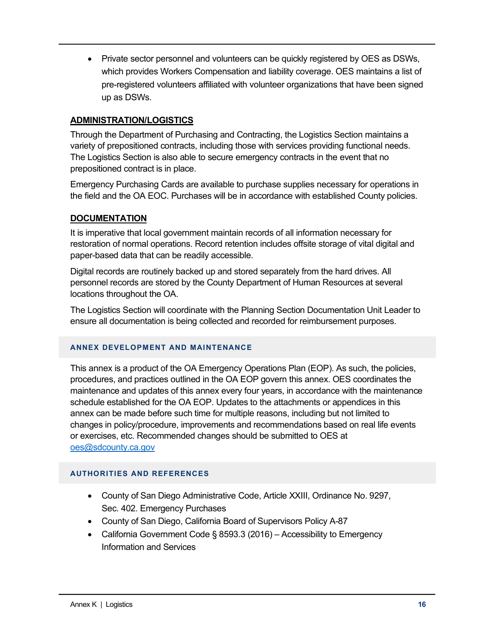• Private sector personnel and volunteers can be quickly registered by OES as DSWs, which provides Workers Compensation and liability coverage. OES maintains a list of pre-registered volunteers affiliated with volunteer organizations that have been signed up as DSWs.

### **ADMINISTRATION/LOGISTICS**

Through the Department of Purchasing and Contracting, the Logistics Section maintains a variety of prepositioned contracts, including those with services providing functional needs. The Logistics Section is also able to secure emergency contracts in the event that no prepositioned contract is in place.

Emergency Purchasing Cards are available to purchase supplies necessary for operations in the field and the OA EOC. Purchases will be in accordance with established County policies.

### **DOCUMENTATION**

It is imperative that local government maintain records of all information necessary for restoration of normal operations. Record retention includes offsite storage of vital digital and paper-based data that can be readily accessible.

Digital records are routinely backed up and stored separately from the hard drives. All personnel records are stored by the County Department of Human Resources at several locations throughout the OA.

The Logistics Section will coordinate with the Planning Section Documentation Unit Leader to ensure all documentation is being collected and recorded for reimbursement purposes.

#### **ANNEX DEVELOPMENT AND MAINTENANCE**

This annex is a product of the OA Emergency Operations Plan (EOP). As such, the policies, procedures, and practices outlined in the OA EOP govern this annex. OES coordinates the maintenance and updates of this annex every four years, in accordance with the maintenance schedule established for the OA EOP. Updates to the attachments or appendices in this annex can be made before such time for multiple reasons, including but not limited to changes in policy/procedure, improvements and recommendations based on real life events or exercises, etc. Recommended changes should be submitted to OES at oes@sdcounty.ca.gov

### **AUTHORITIES AND REFERENCES**

- County of San Diego Administrative Code, Article XXIII, Ordinance No. 9297, Sec. 402. Emergency Purchases
- County of San Diego, California Board of Supervisors Policy A-87
- California Government Code § 8593.3 (2016) Accessibility to Emergency Information and Services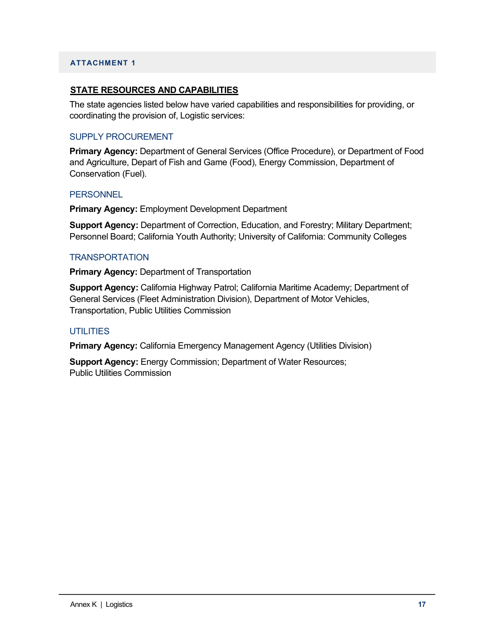#### **ATTACHMENT 1**

#### **STATE RESOURCES AND CAPABILITIES**

The state agencies listed below have varied capabilities and responsibilities for providing, or coordinating the provision of, Logistic services:

#### SUPPLY PROCUREMENT

**Primary Agency:** Department of General Services (Office Procedure), or Department of Food and Agriculture, Depart of Fish and Game (Food), Energy Commission, Department of Conservation (Fuel).

#### **PERSONNEL**

**Primary Agency:** Employment Development Department

**Support Agency:** Department of Correction, Education, and Forestry; Military Department; Personnel Board; California Youth Authority; University of California: Community Colleges

#### **TRANSPORTATION**

**Primary Agency:** Department of Transportation

**Support Agency:** California Highway Patrol; California Maritime Academy; Department of General Services (Fleet Administration Division), Department of Motor Vehicles, Transportation, Public Utilities Commission

#### **UTILITIES**

**Primary Agency:** California Emergency Management Agency (Utilities Division)

**Support Agency:** Energy Commission; Department of Water Resources; Public Utilities Commission